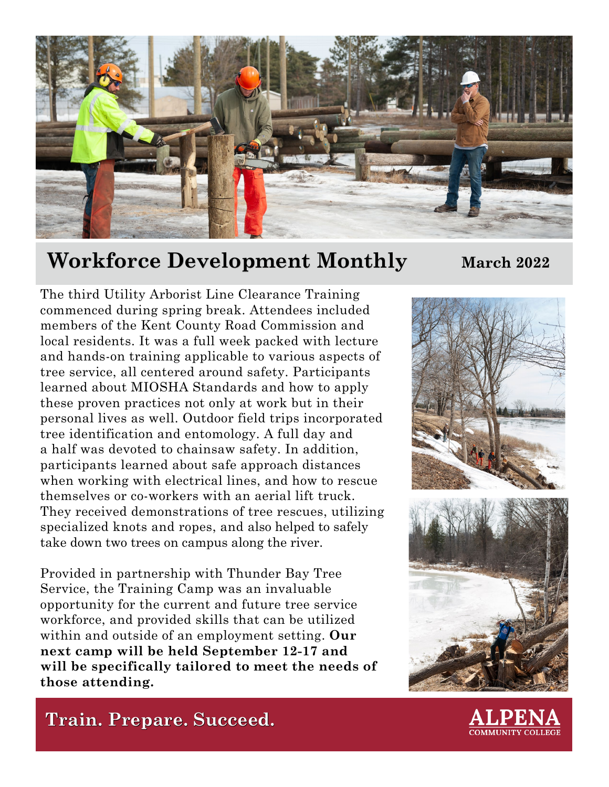

# **Workforce Development Monthly March 2022**

The third Utility Arborist Line Clearance Training commenced during spring break. Attendees included members of the Kent County Road Commission and local residents. It was a full week packed with lecture and hands-on training applicable to various aspects of tree service, all centered around safety. Participants learned about MIOSHA Standards and how to apply these proven practices not only at work but in their personal lives as well. Outdoor field trips incorporated tree identification and entomology. A full day and a half was devoted to chainsaw safety. In addition, participants learned about safe approach distances when working with electrical lines, and how to rescue themselves or co-workers with an aerial lift truck. They received demonstrations of tree rescues, utilizing specialized knots and ropes, and also helped to safely take down two trees on campus along the river.

Provided in partnership with Thunder Bay Tree Service, the Training Camp was an invaluable opportunity for the current and future tree service workforce, and provided skills that can be utilized within and outside of an employment setting. **Our next camp will be held September 12-17 and will be specifically tailored to meet the needs of those attending.**



**Train. Prepare. Succeed.**